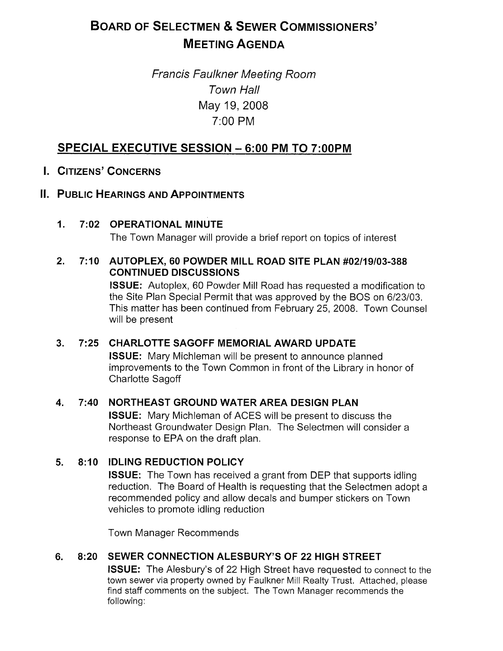# BOARD OF SELECTMEN & SEWER COMMISSIONERS' MEETING AGENDA

# Francis Faulkner Meeting Room Town Hall May 19, 2008 7:00 PM

# SPECIAL EXECUTIVE SESSION — 6:00 PM TO 7:00PM

# I. CITIZENS' CONCERNS

 $\mathbf 1$ 

# II. PUBLIC HEARINGS AND APPOINTMENTS

7:02 OPERATIONAL MINUTE The Town Manager will provide a brief report on topics of interest

### 2. 7:10 AUTOPLEX, 60 POWDER MILL ROAD SITE PLAN #02/19/03-388 CONTINUED DISCUSSIONS

ISSUE: Autoplex, 60 Powder Mill Road has requested a modification to the Site Plan Special Permit that was approved by the BOS on 6/23/03. This matter has been continued from February 25, 2008. Town Counsel will be present

# 3. 7:25 CHARLOTTE SAGOFF MEMORIAL AWARD UPDATE

ISSUE: Mary Michleman will be present to announce planned improvements to the Town Common in front of the Library in honor of Charlotte Sagoff

# 4. 7:40 NORTHEAST GROUND WATER AREA DESIGN PLAN

ISSUE: Mary Michleman of ACES will be present to discuss the Northeast Groundwater Design Plan. The Selectmen will consider a response to EPA on the draft plan.

# 5. 8:10 IDLING REDUCTION POLICY

ISSUE: The Town has received a grant from DEP that supports idling reduction. The Board of Health is requesting that the Selectmen adopt a recommended policy and allow decals and bumper stickers on Town vehicles to promote idling reduction

Town Manager Recommends

# 6. 8:20 SEWER CONNECTION ALESBURY'S OF 22 HIGH STREET

ISSUE: The Alesbury's of 22 High Street have requested to connect to the town sewer via property owned by Faulkner Mill Realty Trust. Attached, please find staff comments on the subject. The Town Manager recommends the following: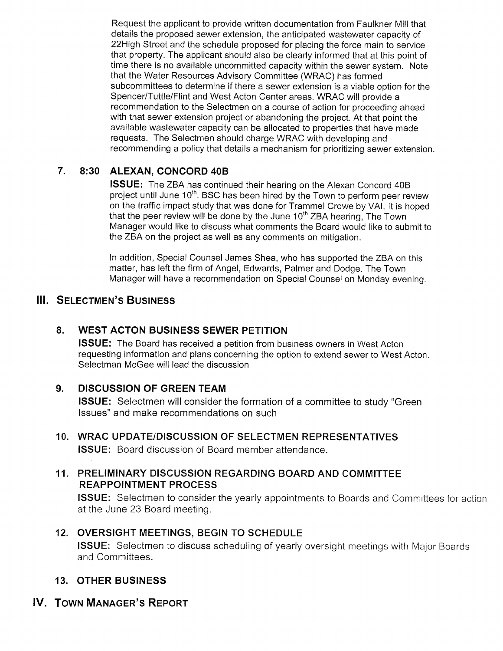Request the applicant to provide written documentation from Faulkner Mill that details the proposed sewer extension, the anticipated wastewater capacity of 22High Street and the schedule proposed for placing the force main to service that property. The applicant should also be clearly informed that at this point of time there is no available uncommitted capacity within the sewer system. Note that the Water Resources Advisory Committee (WRAC) has formed subcommittees to determine if there a sewer extension is a viable option for the Spencer/Tuttle/Flint and West Acton Center areas. WRAC will provide a recommendation to the Selectmen on a course of action for proceeding ahead with that sewer extension project or abandoning the project. At that point the available wastewater capacity can be allocated to properties that have made requests. The Selectmen should charge WRAC with developing and recommending a policy that details a mechanism for prioritizing sewer extension.

# 7. 8:30 ALEXAN, CONCORD 40B

ISSUE: The ZBA has continued their hearing on the Alexan Concord 40B project until June  $10<sup>th</sup>$ . BSC has been hired by the Town to perform peer review on the traffic impact study that was done for Trammel Crowe by VAI. It is hoped that the peer review will be done by the June  $10<sup>th</sup> ZBA$  hearing, The Town Manager would like to discuss what comments the Board would like to submit to the ZBA on the project as well as any comments on mitigation.

In addition, Special Counsel James Shea, who has supported the ZBA on this matter, has left the firm of Angel, Edwards, Palmer and Dodge. The Town Manager will have a recommendation on Special Counsel on Monday evening.

# **III. SELECTMEN'S BUSINESS**

# 8. WEST ACTON BUSINESS SEWER PETITION

ISSUE: The Board has received a petition from business owners in West Acton requesting information and plans concerning the option to extend sewer to West Acton. Selectman McGee will lead the discussion

# 9. DISCUSSION OF GREEN TEAM

ISSUE: Selectmen will consider the formation of a committee to study "Green Issues" and make recommendations on such

# 10. WRAC UPDATE/DISCUSSION OF SELECTMEN REPRESENTATIVES ISSUE: Board discussion of Board member attendance.

# 11. PRELIMINARY DISCUSSION REGARDING BOARD AND COMMITTEE REAPPOINTMENT PROCESS

ISSUE: Selectmen to consider the yearly appointments to Boards and Committees for action at the June 23 Board meeting.

# 12. OVERSIGHT MEETINGS, BEGIN TO SCHEDULE

ISSUE: Selectmen to discuss scheduling of yearly oversight meetings with Major Boards and Committees.

# 13. OTHER BUSINESS

# IV. TOWN MANAGER'S REPORT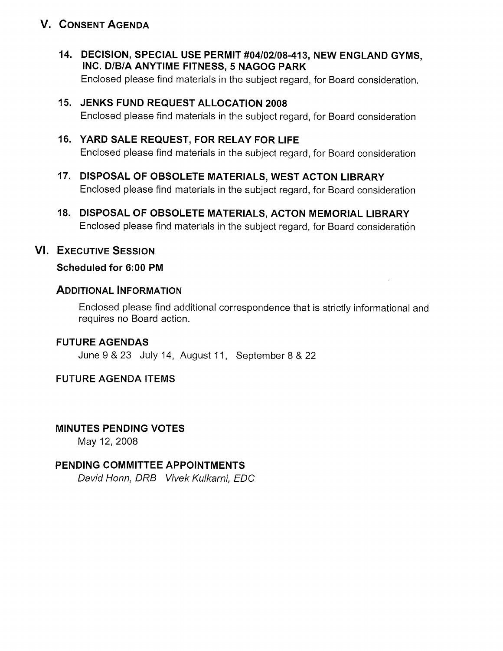# V. CONSENT AGENDA

- 14. DECISION, SPECIAL USE PERMIT #04/02/08-413, NEW ENGLAND GYMS, INC. D/B/A ANYTIME FITNESS, 5 NAGOG PARK Enclosed please find materials in the subject regard, for Board consideration.
- 15. JENKS FUND REQUEST ALLOCATION 2008 Enclosed please find materials in the subject regard, for Board consideration
- 16. YARD SALE REQUEST, FOR RELAY FOR LIFE Enclosed please find materials in the subject regard, for Board consideration
- 17. DISPOSAL OF OBSOLETE MATERIALS, WEST ACTON LIBRARY Enclosed please find materials in the subject regard, for Board consideration
- 18. DISPOSAL OF OBSOLETE MATERIALS, ACTON MEMORIAL LIBRARY Enclosed please find materials in the subject regard, for Board consideration

# VI. EXECUTIVE SESSION

### Scheduled for 6:00 PM

# ADDITIONAL INFORMATION

Enclosed please find additional correspondence that is strictly informational and requires no Board action.

# FUTURE AGENDAS

June 9 & 23 July 14, August 11, September 8 & 22

# FUTURE AGENDA ITEMS

# MINUTES PENDING VOTES

May 12, 2008

# PENDING COMMITTEE APPOINTMENTS

David Honn, DRB Vivek Kulkarni, EDC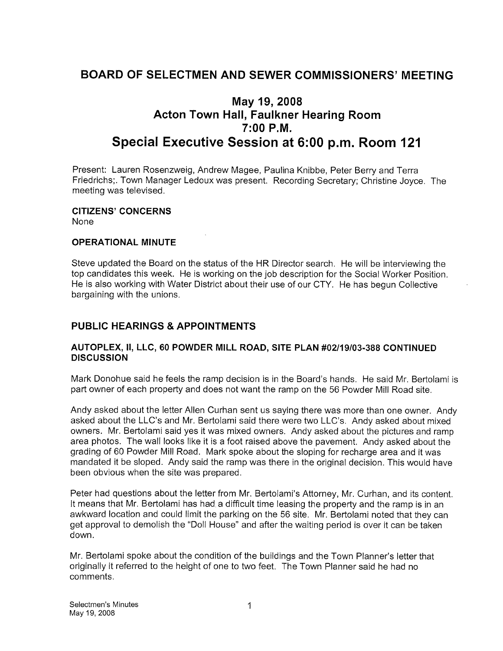# BOARD OF SELECTMEN AND SEWER COMMISSIONERS' MEETING

# May 19, 2008 Acton Town Hall, Faulkner Hearing Room 7:00 P.M. Special Executive Session at 6:00 p.m. Room 121

Present: Lauren Rosenzweig, Andrew Magee, Paulina Knibbe, Peter Berry and Terra Friedrichs;. Town Manager Ledoux was present. Recording Secretary; Christine Joyce. The meeting was televised.

# CITIZENS' CONCERNS

None

### OPERATIONAL MINUTE

Steve updated the Board on the status of the HR Director search. He will be interviewing the top candidates this week. He is working on the job description for the Social Worker Position. He is also working with Water District about their use of our CTY. He has begun Collective bargaining with the unions.

### PUBLIC HEARINGS & APPOINTMENTS

#### AUTOPLEX, II, LLC, 60 POWDER MILL ROAD, SITE PLAN #02/19/03-388 CONTINUED **DISCUSSION**

Mark Donohue said he feels the ramp decision is in the Board's hands. He said Mr. Bertolami is part owner of each property and does not want the ramp on the 56 Powder Mill Road site.

Andy asked about the letter Allen Curhan sent us saying there was more than one owner. Andy asked about the LLC's and Mr. Bertolami said there were two LLC's. Andy asked about mixed owners. Mr. Bertolami said yes it was mixed owners. Andy asked about the pictures and ramp area photos. The wall looks like it is a foot raised above the pavement. Andy asked about the grading of 60 Powder Mill Road. Mark spoke about the sloping for recharge area and it was mandated it be sloped. Andy said the ramp was there in the original decision. This would have been obvious when the site was prepared.

Peter had questions about the letter from Mr. Bertolami's Attorney, Mr. Curhan, and its content. It means that Mr. Bertolami has had, a difficult time leasing the property and the ramp is in an awkward location and could limit the parking on the 56 site. Mr. Bertolami noted that they can get approval to demolish the "Doll House" and after the waiting period is over it can be taken down.

Mr. Bertolami spoke about the condition of the buildings and the Town Planner's letter that originally it referred to the height of one to two feet. The Town Planner said he had no comments.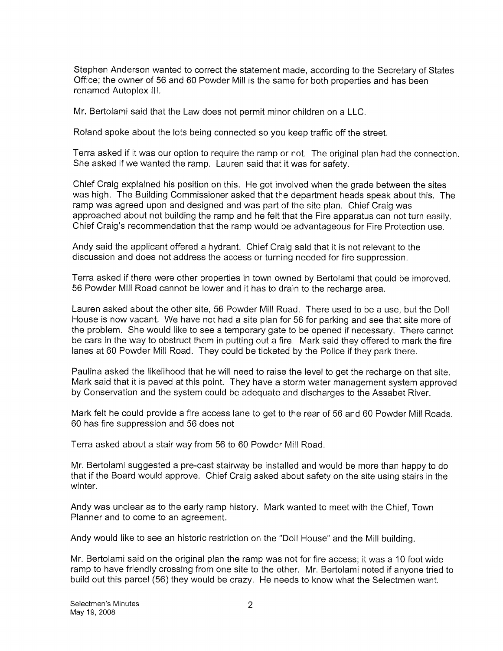Stephen Anderson wanted to correct the statement made, according to the Secretary of States Office; the owner of 56 and 60 Powder Mill is the same for both properties and has been renamed Autoplex Ill.

Mr. Bertolami said that the Law does not permit minor children on a LLC.

Roland spoke about the lots being connected so you keep traffic off the street.

Terra asked if it was our option to require the ramp or not. The original plan had the connection. She asked if we wanted the ramp. Lauren said that it was for safety.

Chief Craig explained his position on this. He got involved when the grade between the sites was high. The Building Commissioner asked that the department heads speak about this. The ramp was agreed upon and designed and was part of the site plan. Chief Craig was approached about not building the ramp and he felt that the Fire apparatus can not turn easily. Chief Craig's recommendation that the ramp would be advantageous for Fire Protection use.

Andy said the applicant offered a hydrant. Chief Craig said that it is not relevant to the discussion and does not address the access or turning needed for fire suppression.

Terra asked if there were other properties in town owned by Bertolami that could be improved. 56 Powder Mill Road cannot be lower and it has to drain to the recharge area.

Lauren asked about the other site, 56 Powder Mill Road. There used to be a use, but the Doll House is now vacant. We have not had a site plan for 56 for parking and see that site more of the problem. She would like to see a temporary gate to be opened if necessary. There cannot be cars in the way to obstruct them in putting out a fire. Mark said they offered to mark the fire lanes at 60 Powder Mill Road. They could be ticketed by the Police if they park there.

Paulina asked the likelihood that he will need to raise the level to get the recharge on that site. Mark said that it is paved at this point. They have a storm water management system approved by Conservation and the system could be adequate and discharges to the Assabet River.

Mark felt he could provide a fire access lane to get to the rear of 56 and 60 Powder Mill Roads. 60 has fire suppression and 56 does not

Terra asked about a stair way from 56 to 60 Powder Mill Road.

Mr. Bertolami suggested a pre-cast stairway be installed and would be more than happy to do that if the Board would approve. Chief Craig asked about safety on the site using stairs in the winter.

Andy was unclear as to the early ramp history. Mark wanted to meet with the Chief, Town Planner and to come to an agreement.

Andy would like to see an historic restriction on the "Doll House" and the Mill building.

Mr. Bertolami said on the original plan the ramp was not for fire access; it was a 10 foot wide ramp to have friendly crossing from one site to the other. Mr. Bertolami noted if anyone tried to build out this parcel (56) they would be crazy. He needs to know what the Selectmen want.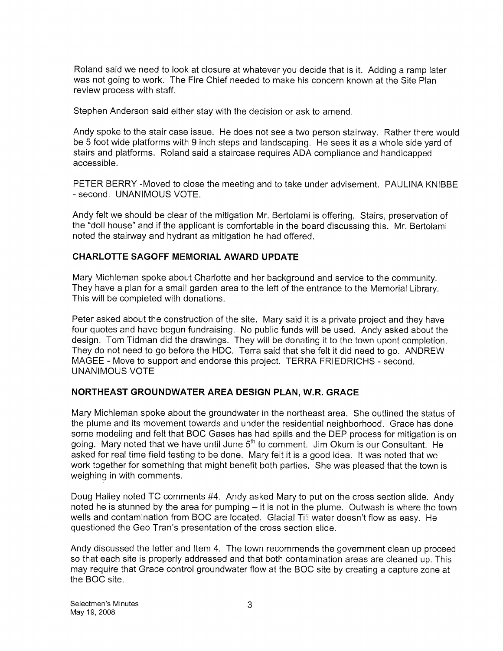Roland said we need to look at closure at whatever you decide that is it. Adding a ramp later was not going to work. The Fire Chief needed to make his concern known at the Site Plan review process with staff.

Stephen Anderson said either stay with the decision or ask to amend.

Andy spoke to the stair case issue. He does not see a two person stairway. Rather there would be 5 foot wide platforms with 9 inch steps and landscaping. He sees it as a whole side yard of stairs and platforms. Roland said a staircase requires ADA compliance and handicapped accessible.

PETER BERRY -Moved to close the meeting and to take under advisement. PAULINA KNIBBE - second. UNANIMOUS VOTE.

Andy felt we should be clear of the mitigation Mr. Bertolami is offering. Stairs, preservation of the "doll house" and if the applicant is comfortable in the board discussing this. Mr. Bertolami noted the stairway and hydrant as mitigation he had offered.

### CHARLOTTE SAGOFF MEMORIAL AWARD UPDATE

Mary Michleman spoke about Charlotte and her background and service to the community. They have a plan for a small garden area to the left of the entrance to the Memorial Library. This will be completed with donations.

Peter asked about the construction of the site. Mary said it is a private project and they have four quotes and have begun fundraising. No public funds will be used. Andy asked about the design. Tom Tidman did the drawings. They will be donating it to the town upont completion. They do not need to go before the HDC. Terra said that she felt it did need to go. ANDREW MAGEE - Move to support and endorse this project. TERRA FRIEDRICHS - second. UNANIMOUS VOTE

### NORTHEAST GROUNDWATER AREA DESIGN PLAN, W.R. GRACE

Mary Michleman spoke about the groundwater in the northeast area. She outlined the status of the plume and its movement towards and under the residential neighborhood. Grace has done some modeling and felt that BOC Gases has had spills and the DEP process for mitigation is on going. Mary noted that we have until June  $5<sup>th</sup>$  to comment. Jim Okum is our Consultant. He asked for real time field testing to be done. Mary felt it is a good idea. It was noted that we work together for something that might benefit both parties. She was pleased that the town is weighing in with comments.

Doug Halley noted TC comments #4. Andy asked Mary to put on the cross section slide. Andy noted he is stunned by the area for pumping  $-$  it is not in the plume. Outwash is where the town wells and contamination from BOC are located. Glacial Till water doesn't flow as easy. He questioned the Geo Tran's presentation of the cross section slide.

Andy discussed the letter and Item 4. The town recommends the government clean up proceed so that each site is properly addressed and that both contamination areas are cleaned up. This may require that Grace control groundwater flow at the BOC site by creating a capture zone at the BOC site.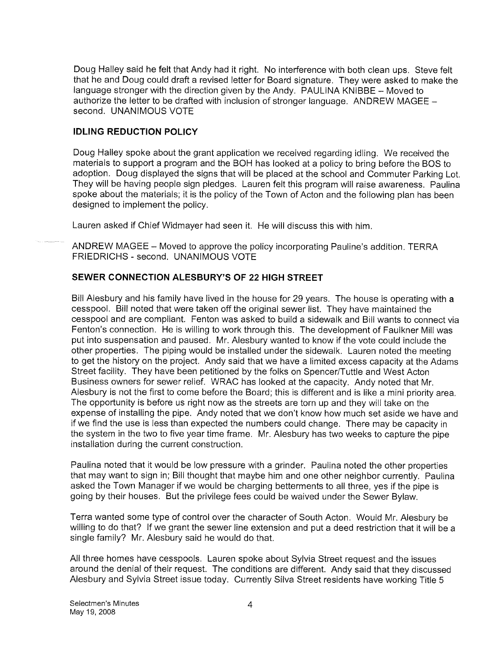Doug Halley said he felt that Andy had it right. No interference with both clean ups. Steve felt that he and Doug could draft a revised letter for Board signature. They were asked to make the language stronger with the direction given by the Andy. PAULINA KNIBBE — Moved to authorize the letter to be drafted with inclusion of stronger language. ANDREW MAGEE second. UNANIMOUS VOTE

### IDLING REDUCTION POLICY

Doug Halley spoke about the grant application we received regarding idling. We received the materials to support a program and the BOH has looked at a policy to bring before the BOS to adoption. Doug displayed the signs that will be placed at the school and Commuter Parking Lot. They will be having people sign pledges. Lauren felt this program will raise awareness. Paulina spoke about the materials; it is the policy of the Town of Acton and the following plan has been designed to implement the policy.

Lauren asked if Chief Widmayer had seen it. He will discuss this with him.

ANDREW MAGEE — Moved to approve the policy incorporating Pauline's addition. TERRA FRIEDRICHS - second. UNANIMOUS VOTE

### SEWER CONNECTION ALESBURY'S OF 22 HIGH STREET

Bill Alesbury and his family have lived in the house for 29 years. The house is operating with a cesspool. Bill noted that were taken off the original sewer list. They have maintained the cesspool and are compliant. Fenton was asked to build a sidewalk and Bill wants to connect via Fenton's connection. He is willing to work through this. The development of Faulkner Mill was put into suspensation and paused. Mr. Alesbury wanted to know if the vote could include the other properties. The piping would be installed under the sidewalk. Lauren noted the meeting to get the history on the project. Andy said that we have a limited excess capacity at the Adams Street facility. They have been petitioned by the folks on Spencer/Tuttle and West Acton Business owners for sewer relief. WRAC has looked at the capacity. Andy noted that Mr. Alesbury is not the first to come before the Board; this is different and is like a mini priority area. The opportunity is before us right now as the streets are torn up and they will take on the expense of installing the pipe. Andy noted that we don't know how much set aside we have and if we find the use is less than expected the numbers could change. There may be capacity in the system in the two to five year time frame. Mr. Alesbury has two weeks to capture the pipe installation during the current construction.

Paulina noted that it would be low pressure with a grinder. Paulina noted the other properties that may want to sign in; Bill thought that maybe him and one other neighbor currently. Paulina asked the Town Manager if we would be charging betterments to all three, yes if the pipe is going by their houses. But the privilege fees could be waived under the Sewer Bylaw.

Terra wanted some type of control over the character of South Acton. Would Mr. Alesbury be willing to do that? If we grant the sewer line extension and put a deed restriction that it will be a single family? Mr. Alesbury said he would do that.

All three homes have cesspools. Lauren spoke about Sylvia Street request and the issues around the denial of their request. The conditions are different. Andy said that they discussed Alesbury and Sylvia Street issue today. Currently Silva Street residents have working Title <sup>5</sup>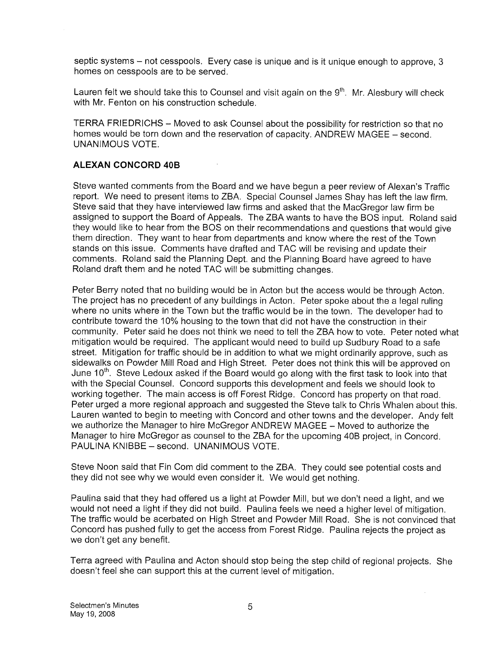septic systems — not cesspools. Every case is unique and is it unique enough to approve, 3 homes on cesspools are to be served. septic systems – not cesspools. Every case is unique and is it unique enough to approve, 3<br>homes on cesspools are to be served.<br>Lauren felt we should take this to Counsel and visit again on the 9<sup>th</sup>. Mr. Alesbury will c

with Mr. Fenton on his construction schedule.

TERRA FRIEDRICHS - Moved to ask Counsel about the possibility for restriction so that no homes would be torn down and the reservation of capacity. ANDREW MAGEE — second. UNANIMOUS VOTE.

### ALEXAN CONCORD 40B

Steve wanted comments from the Board and we have begun a peer review of Alexan's Traffic report. We need to present items to ZBA. Special Counsel James Shay has left the law firm. Steve said that they have interviewed law firms and asked that the MacGregor law firm be assigned to support the Board of Appeals. The ZBA wants to have the BOS input. Roland said they would like to hear from the BOS on their recommendations and questions that would give them direction. They want to hear from departments and know where the rest of the Town stands on this issue. Comments have drafted and TAC will be revising and update their comments. Roland said the Planning Dept. and the Planning Board have agreed to have Roland draft them and he noted TAO will be submitting changes.

Peter Berry noted that no building would be in Acton but the access would be through Acton. The project has no precedent of any buildings in Acton. Peter spoke about the a legal ruling where no units where in the Town but the traffic would be in the town. The developer had to contribute toward the 10% housing to the town that did not have the construction in their community. Peter said he does not think we need to tell the ZBA how to vote. Peter noted what mitigation would be required. The applicant would need to build up Sudbury Road to a safe street. Mitigation for traffic should be in addition to what we might ordinarily approve, such as sidewalks on Powder Mill Road and High Street. Peter does not think this will be approved on June 10<sup>th</sup>. Steve Ledoux asked if the Board would go along with the first task to look into that with the Special Counsel. Concord supports this development and feels we should look to working together. The main access is off Forest Ridge. Concord has property on that road. Peter urged a more regional approach and suggested the Steve talk to Chris Whalen about this. Lauren wanted to begin to meeting with Concord and other towns and the developer. Andy felt we authorize the Manager to hire McGregor ANDREW MAGEE — Moved to authorize the Manager to hire McGregor as counsel to the ZBA for the upcoming 40B project, in Concord. PAULINA KNIBBE — second. UNANIMOUS VOTE.

Steve Noon said that Fin Com did comment to the ZBA. They could see potential costs and they did not see why we would even consider it. We would get nothing.

Paulina said that they had offered us a light at Powder Mill, but we don't need a light, and we would not need a light if they did not build. Paulina feels we need a higher level of mitigation. The traffic would be acerbated on High Street and Powder Mill Road. She is not convinced that Concord has pushed fully to get the access from Forest Ridge. Paulina rejects the project as we don't get any benefit.

Terra agreed with Paulina and Acton should stop being the step child of regional projects. She doesn't feel she can support this at the current level of mitigation.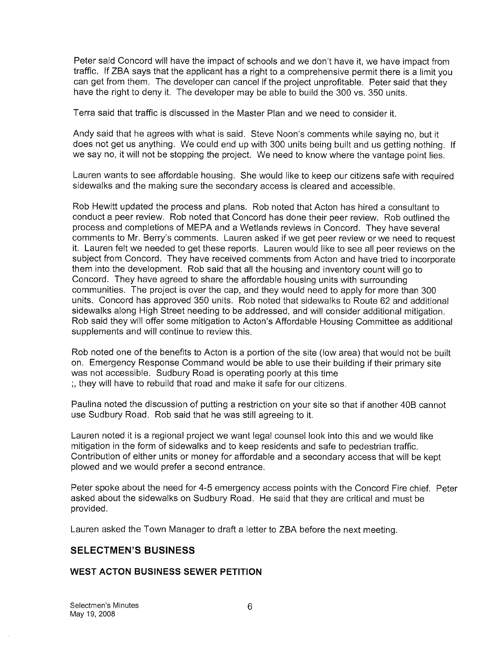Peter said Concord will have the impact of schools and we don't have it, we have impact from traffic. If ZBA says that the applicant has a right to a comprehensive permit there is a limit you can get from them. The developer can cancel if the project unprofitable. Peter said that they have the right to deny it. The developer may be able to build the 300 vs. 350 units.

Terra said that traffic is discussed in the Master Plan and we need to consider it.

Andy said that he agrees with what is said. Steve Noon's comments while saying no, but it does not get us anything. We could end up with 300 units being built and us getting nothing. If we say no, it will not be stopping the project. We need to know where the vantage point lies.

Lauren wants to see affordable housing. She would like to keep our citizens safe with required sidewalks and the making sure the secondary access is cleared and accessible.

Rob Hewitt updated the process and plans. Rob noted that Acton has hired a consultant to conduct a peer review. Rob noted that Concord has done their peer review. Rob outlined the process and completions of MEPA and a Wetlands reviews in Concord. They have several comments to Mr. Berry's comments. Lauren asked if we get peer review or we need to request it. Lauren felt we needed to get these reports. Lauren would like to see all peer reviews on the subject from Concord. They have received comments from Acton and have tried to incorporate them into the development. Rob said that all the housing and inventory count will go to Concord. They have agreed to share the affordable housing units with surrounding communities. The project is over the cap, and they would need to apply for more than 300 units. Concord has approved 350 units. Rob noted that sidewalks to Route 62 and additional sidewalks along High Street needing to be addressed, and will consider additional mitigation. Rob said they will offer some mitigation to Acton's Affordable Housing Committee as additional supplements and will continue to review this.

Rob noted one of the benefits to Acton is a portion of the site (low area) that would not be built on. Emergency Response Command would be able to use their building if their primary site was not accessible. Sudbury Road is operating poorly at this time ;, they will have to rebuild that road and make it safe for our citizens.

Paulina noted the discussion of putting a restriction on your site so that if another 40B cannot use Sudbury Road. Rob said that he was still agreeing to it.

Lauren noted it is a regional project we want legal counsel look into this and we would like mitigation in the form of sidewalks and to keep residents and safe to pedestrian traffic. Contribution of either units or money for affordable and a secondary access that will be kept plowed and we would prefer a second entrance.

Peter spoke about the need for 4-5 emergency access points with the Concord Fire chief. Peter asked about the sidewalks on Sudbury Road. He said that they are critical and must be provided.

Lauren asked the Town Manager to draft a letter to ZBA before the next meeting.

### SELECTMEN'S BUSINESS

### WEST ACTON BUSINESS SEWER PETITION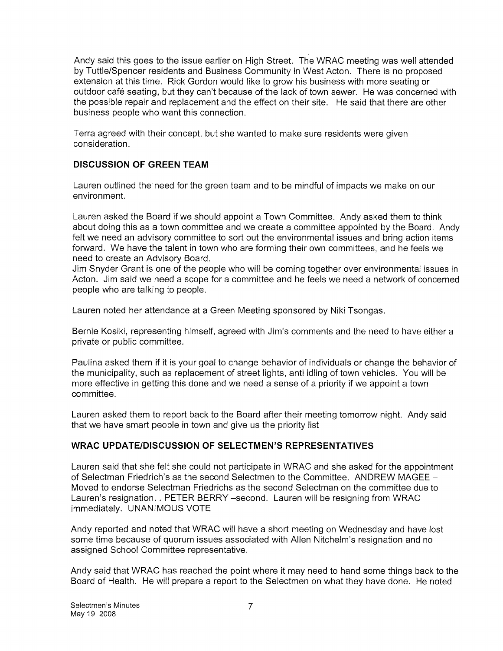Andy said this goes to the issue earlier on High Street. The WRAC meeting was well attended by Tuttle/Spencer residents and Business Community in West Acton. There is no proposed extension at this time. Rick Gordon would like to grow his business with more seating or outdoor café seating, but they can't because of the lack of town sewer. He was concerned with the possible repair and replacement and the effect on their site. He said that there are other business people who want this connection.

Terra agreed with their concept, but she wanted to make sure residents were given consideration.

### DISCUSSION OF GREEN TEAM

Lauren outlined the need for the green team and to be mindful of impacts we make on our environment.

Lauren asked the Board if we should appoint a Town Committee. Andy asked them to think about doing this as a town committee and we create a committee appointed by the Board. Andy felt we need an advisory committee to sort out the environmental issues and bring action items forward. We have the talent in town who are forming their own committees, and he feels we need to create an Advisory Board.

Jim Snyder Grant is one of the people who will be coming together over environmental issues in Acton. Jim said we need a scope for a committee and he feels we need a network of concerned people who are talking to people.

Lauren noted her attendance at a Green Meeting sponsored by Niki Tsongas.

Bernie Kosiki, representing himself, agreed with Jim's comments and the need to have either a private or public committee.

Paulina asked them if it is your goal to change behavior of individuals or change the behavior of the municipality, such as replacement of street lights, anti idling of town vehicles. You will be more effective in getting this done and we need a sense of a priority if we appoint a town committee.

Lauren asked them to report back to the Board after their meeting tomorrow night. Andy said that we have smart people in town and give us the priority list

### WRAC UPDATE/DISCUSSION OF SELECTMEN'S REPRESENTATIVES

Lauren said that she felt she could not participate in WRAC and she asked for the appointment of Selectman Friedrich's as the second Selectmen to the Committee. ANDREW MAGEE — Moved to endorse Selectman Friedrichs as the second Selectman on the committee due to Lauren's resignation. . PETER BERRY —second. Lauren will be resigning from WRAC immediately. UNANIMOUS VOTE

Andy reported and noted that WRAC will have a short meeting on Wednesday and have lost some time because of quorum issues associated with Alien Nitchelm's resignation and no assigned School Committee representative.

Andy said that WRAC has reached the point where it may need to hand some things back to the Board of Health. He will prepare a report to the Selectmen on what they have done. He noted